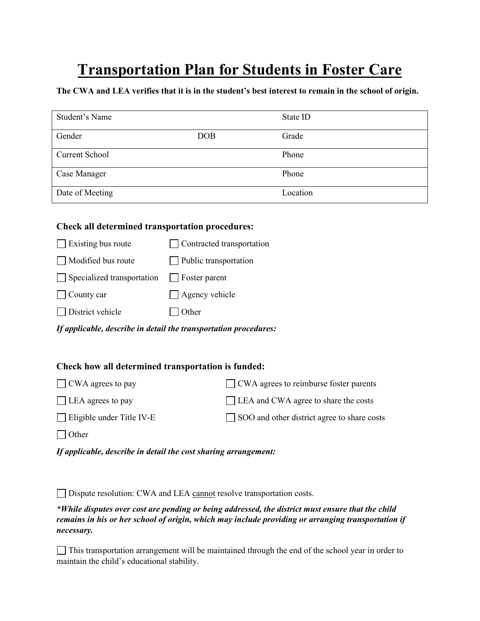# **Transportation Plan for Students in Foster Care**

### **The CWA and LEA verifies that it is in the student's best interest to remain in the school of origin.**

| Student's Name        |     | State ID |
|-----------------------|-----|----------|
| Gender                | DOB | Grade    |
| <b>Current School</b> |     | Phone    |
| <b>Case Manager</b>   |     | Phone    |
| Date of Meeting       |     | Location |

## **Check all determined transportation procedures:**

| $\Box$ Existing bus route         | $\Box$ Contracted transportation |
|-----------------------------------|----------------------------------|
| Modified bus route                | $\Box$ Public transportation     |
| $\Box$ Specialized transportation | $\Box$ Foster parent             |
| County car                        | $\Box$ Agency vehicle            |
| District vehicle                  | Other                            |

*If applicable, describe in detail the transportation procedures:*

#### **Check how all determined transportation is funded:**

| $\Box$ CWA agrees to pay         | <b>CWA</b> agrees to reimburse foster parents |
|----------------------------------|-----------------------------------------------|
| LEA agrees to pay                | □ LEA and CWA agree to share the costs        |
| $\Box$ Eligible under Title IV-E | SOO and other district agree to share costs   |
| Other                            |                                               |

*If applicable, describe in detail the cost sharing arrangement:*

Dispute resolution: CWA and LEA cannot resolve transportation costs.

*\*While disputes over cost are pending or being addressed, the district must ensure that the child remains in his or her school of origin, which may include providing or arranging transportation if necessary.*

This transportation arrangement will be maintained through the end of the school year in order to maintain the child's educational stability.